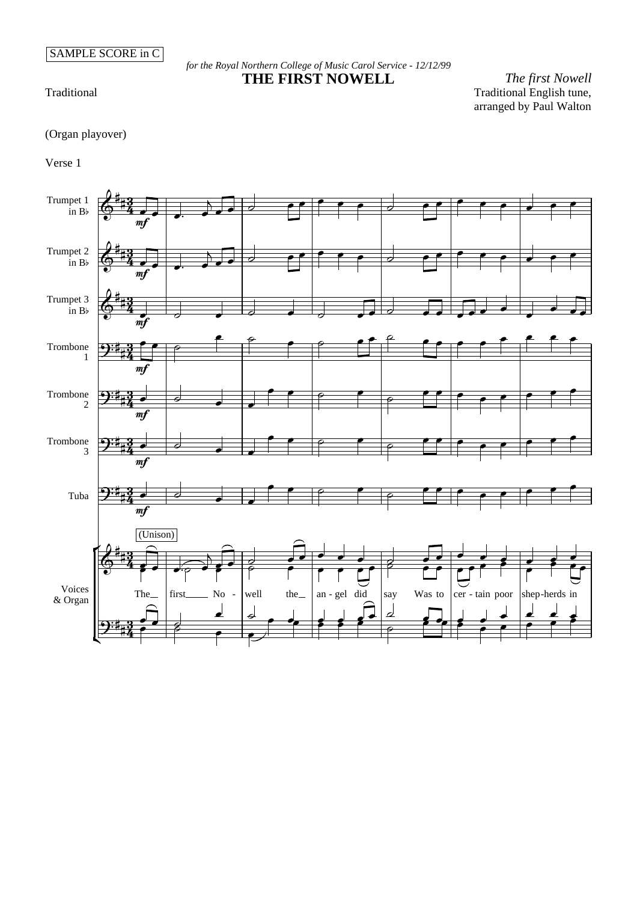SAMPLE SCORE in C

**THE FIRST NOWELL** *for the Royal Northern College of Music Carol Service - 12/12/99*

Traditional English tune, arranged by Paul Walton

*The first Nowell*

Traditional

## (Organ playover)

Verse 1

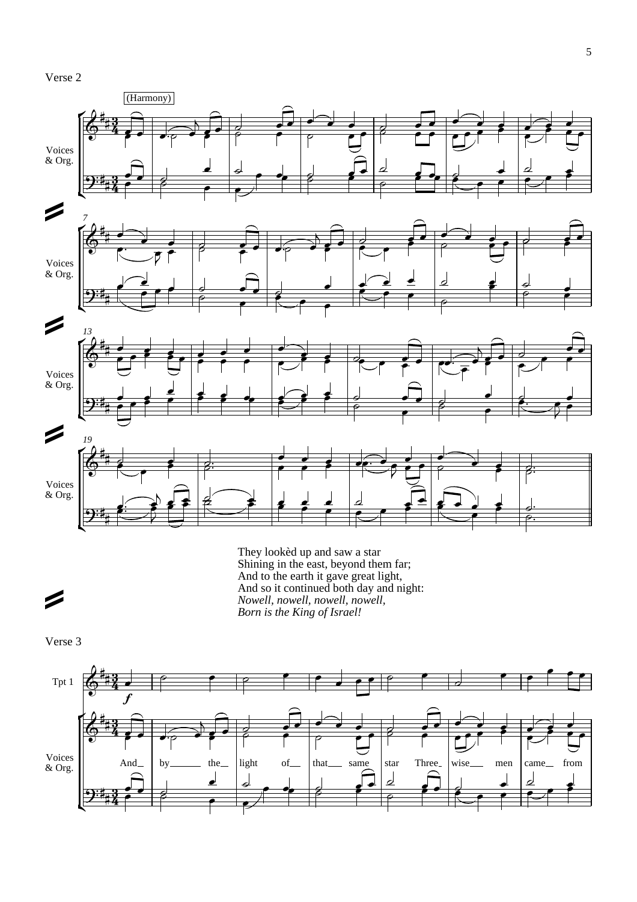



They lookèd up and saw a star Shining in the east, beyond them far; And to the earth it gave great light, And so it continued both day and night: *Nowell, nowell, nowell, nowell, Born is the King of Israel!*

Verse 3

Í

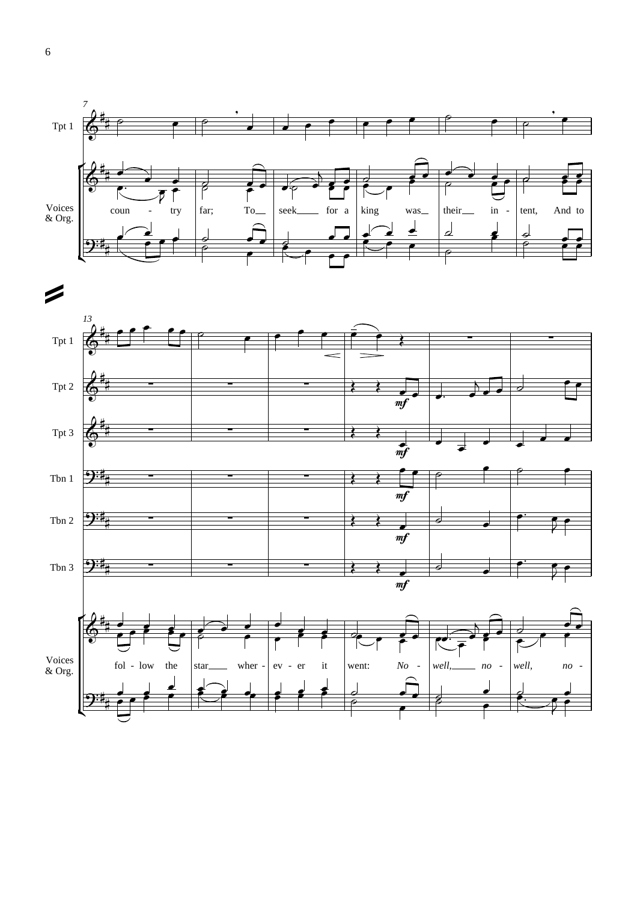

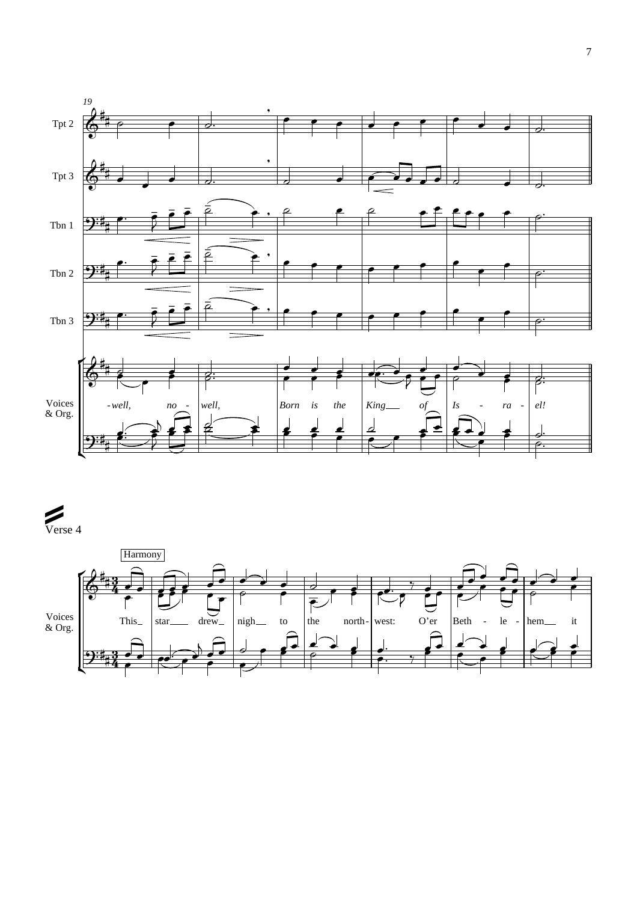



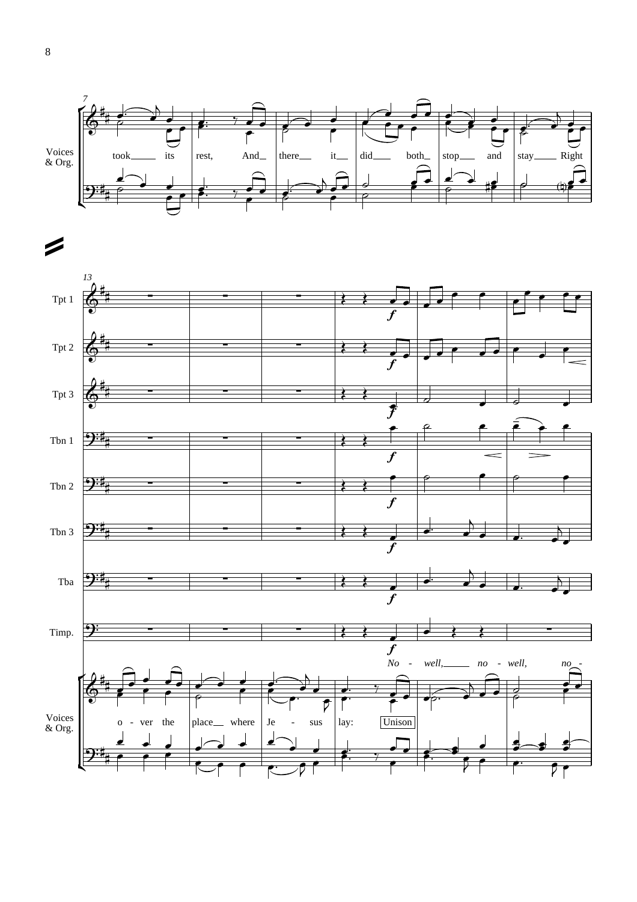

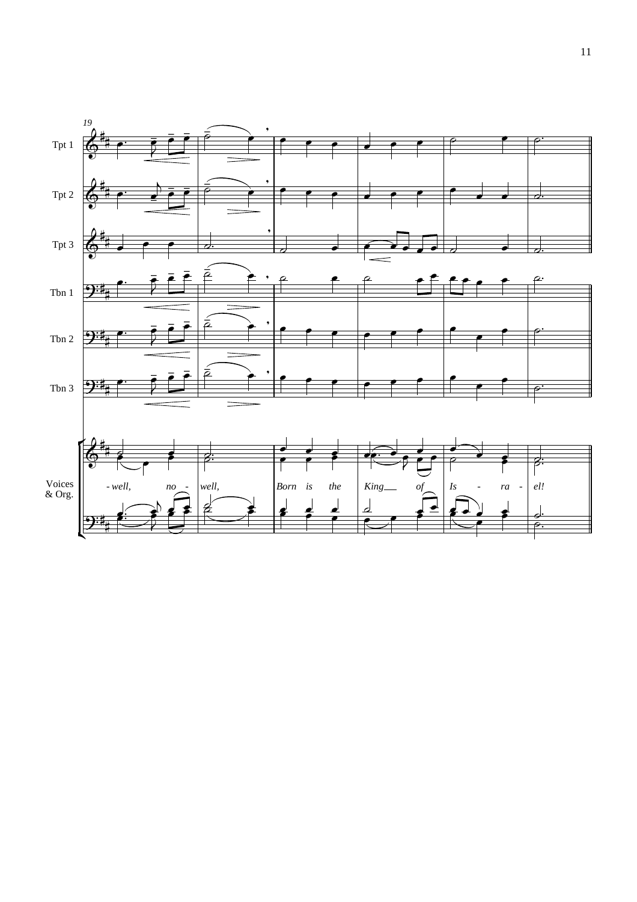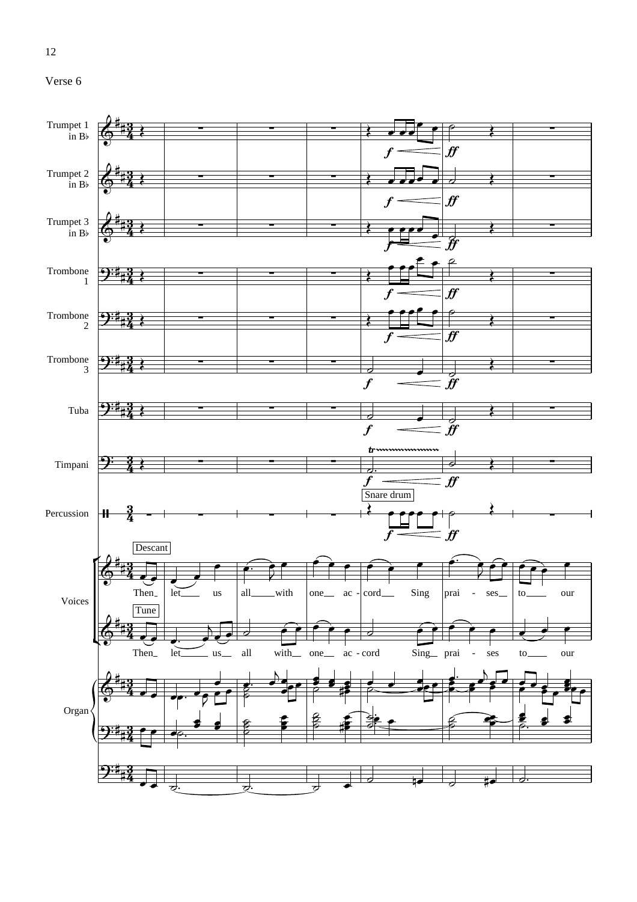



12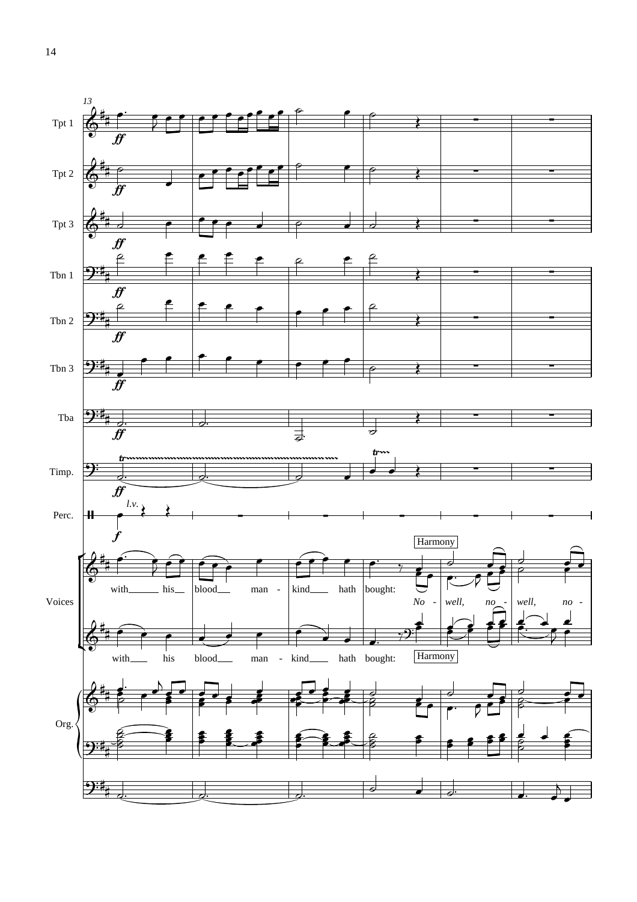